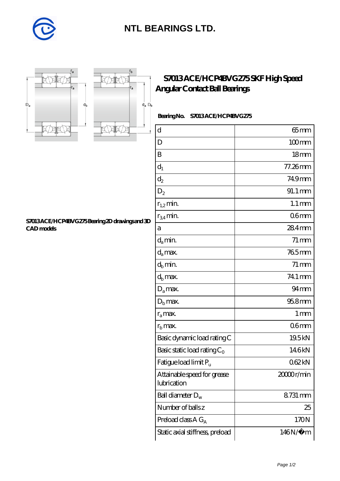

## **[NTL BEARINGS LTD.](https://diabetesfriends.net)**



**[CAD models](https://diabetesfriends.net/pic-590708.html)**



 $r<sub>b</sub>$ 

r,

**[S7013 ACE/HCP4BVG275 Bearing 2D drawings and 3D](https://diabetesfriends.net/pic-590708.html)**

## **[S7013 ACE/HCP4BVG275 SKF High Speed](https://diabetesfriends.net/skf-bearing/s7013-ace-hcp4bvg275.html) [Angular Contact Ball Bearings](https://diabetesfriends.net/skf-bearing/s7013-ace-hcp4bvg275.html)**

 **Bearing No. S7013 ACE/HCP4BVG275**

| $\mathbf d$                                | $65$ mm             |
|--------------------------------------------|---------------------|
| D                                          | $100$ <sub>mm</sub> |
| B                                          | 18 <sub>mm</sub>    |
| $\mathrm{d}_{1}$                           | 77.26mm             |
| $\mathrm{d}_2$                             | 749mm               |
| $D_2$                                      | 91.1 mm             |
| $r_{1,2}$ min.                             | $1.1 \,\mathrm{mm}$ |
| $r_{34}$ min.                              | 06 <sub>mm</sub>    |
| a                                          | 284mm               |
| $d_a$ min.                                 | $71 \,\mathrm{mm}$  |
| $d_a$ max.                                 | 765mm               |
| $d_b$ min.                                 | $71 \,\mathrm{mm}$  |
| $d_h$ max.                                 | 74.1 mm             |
| $D_a$ max.                                 | $94 \text{mm}$      |
| $Db$ max.                                  | 95.8mm              |
| $r_a$ max.                                 | 1 <sub>mm</sub>     |
| $r_{\rm b}$ max.                           | 06 <sub>mm</sub>    |
| Basic dynamic load rating C                | 19.5kN              |
| Basic static load rating $C_0$             | 146kN               |
| Fatigue load limit Pu                      | 062kN               |
| Attainable speed for grease<br>lubrication | 20000r/min          |
| Ball diameter $D_w$                        | 8731 mm             |
| Number of balls z                          | 25                  |
| Preload class $A G_A$                      | 170N                |
| Static axial stiffness, preload            | $146N/\mu$ m        |